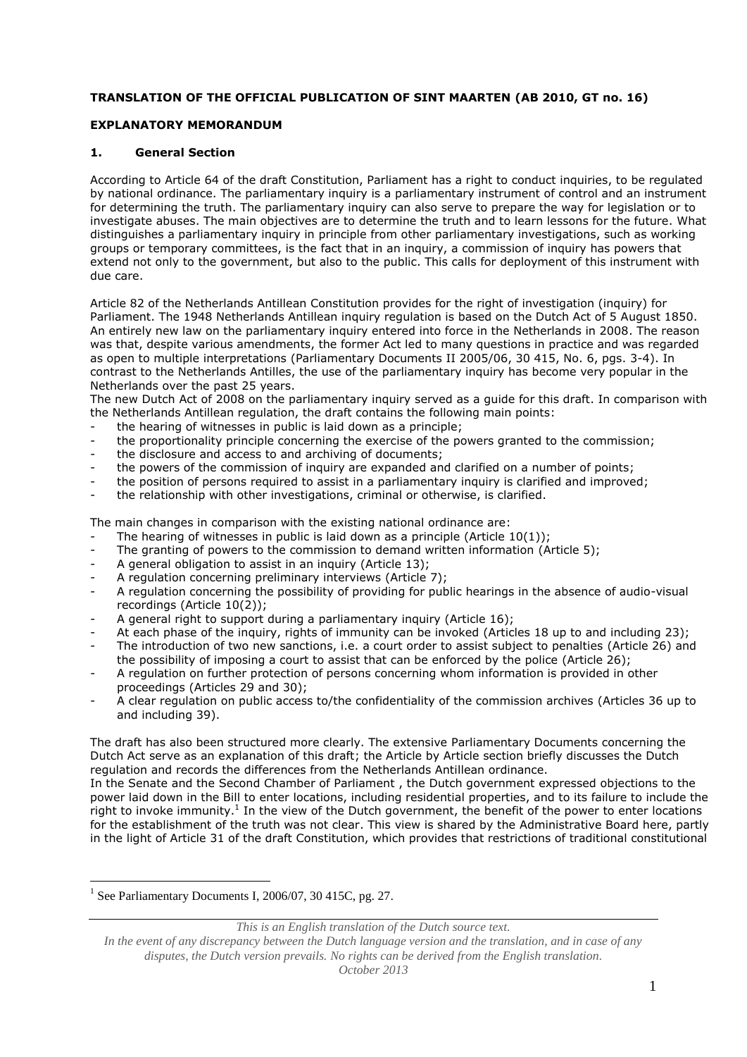# **TRANSLATION OF THE OFFICIAL PUBLICATION OF SINT MAARTEN (AB 2010, GT no. 16)**

# **EXPLANATORY MEMORANDUM**

# **1. General Section**

According to Article 64 of the draft Constitution, Parliament has a right to conduct inquiries, to be regulated by national ordinance. The parliamentary inquiry is a parliamentary instrument of control and an instrument for determining the truth. The parliamentary inquiry can also serve to prepare the way for legislation or to investigate abuses. The main objectives are to determine the truth and to learn lessons for the future. What distinguishes a parliamentary inquiry in principle from other parliamentary investigations, such as working groups or temporary committees, is the fact that in an inquiry, a commission of inquiry has powers that extend not only to the government, but also to the public. This calls for deployment of this instrument with due care.

Article 82 of the Netherlands Antillean Constitution provides for the right of investigation (inquiry) for Parliament. The 1948 Netherlands Antillean inquiry regulation is based on the Dutch Act of 5 August 1850. An entirely new law on the parliamentary inquiry entered into force in the Netherlands in 2008. The reason was that, despite various amendments, the former Act led to many questions in practice and was regarded as open to multiple interpretations (Parliamentary Documents II 2005/06, 30 415, No. 6, pgs. 3-4). In contrast to the Netherlands Antilles, the use of the parliamentary inquiry has become very popular in the Netherlands over the past 25 years.

The new Dutch Act of 2008 on the parliamentary inquiry served as a guide for this draft. In comparison with the Netherlands Antillean regulation, the draft contains the following main points:

- the hearing of witnesses in public is laid down as a principle:
- the proportionality principle concerning the exercise of the powers granted to the commission;
- the disclosure and access to and archiving of documents;
- the powers of the commission of inquiry are expanded and clarified on a number of points;
- the position of persons required to assist in a parliamentary inquiry is clarified and improved;
- the relationship with other investigations, criminal or otherwise, is clarified.

The main changes in comparison with the existing national ordinance are:

- The hearing of witnesses in public is laid down as a principle (Article 10(1));
- The granting of powers to the commission to demand written information (Article 5);
- A general obligation to assist in an inquiry (Article 13);
- A regulation concerning preliminary interviews (Article 7);
- A regulation concerning the possibility of providing for public hearings in the absence of audio-visual recordings (Article 10(2));
- A general right to support during a parliamentary inquiry (Article 16);
- At each phase of the inquiry, rights of immunity can be invoked (Articles 18 up to and including 23);
- The introduction of two new sanctions, i.e. a court order to assist subject to penalties (Article 26) and the possibility of imposing a court to assist that can be enforced by the police (Article 26);
- A regulation on further protection of persons concerning whom information is provided in other proceedings (Articles 29 and 30);
- A clear regulation on public access to/the confidentiality of the commission archives (Articles 36 up to and including 39).

The draft has also been structured more clearly. The extensive Parliamentary Documents concerning the Dutch Act serve as an explanation of this draft; the Article by Article section briefly discusses the Dutch regulation and records the differences from the Netherlands Antillean ordinance.

In the Senate and the Second Chamber of Parliament , the Dutch government expressed objections to the power laid down in the Bill to enter locations, including residential properties, and to its failure to include the right to invoke immunity.<sup>1</sup> In the view of the Dutch government, the benefit of the power to enter locations for the establishment of the truth was not clear. This view is shared by the Administrative Board here, partly in the light of Article 31 of the draft Constitution, which provides that restrictions of traditional constitutional

<u>.</u>

*This is an English translation of the Dutch source text.*

*In the event of any discrepancy between the Dutch language version and the translation, and in case of any disputes, the Dutch version prevails. No rights can be derived from the English translation. October 2013*

<sup>&</sup>lt;sup>1</sup> See Parliamentary Documents I, 2006/07, 30 415C, pg. 27.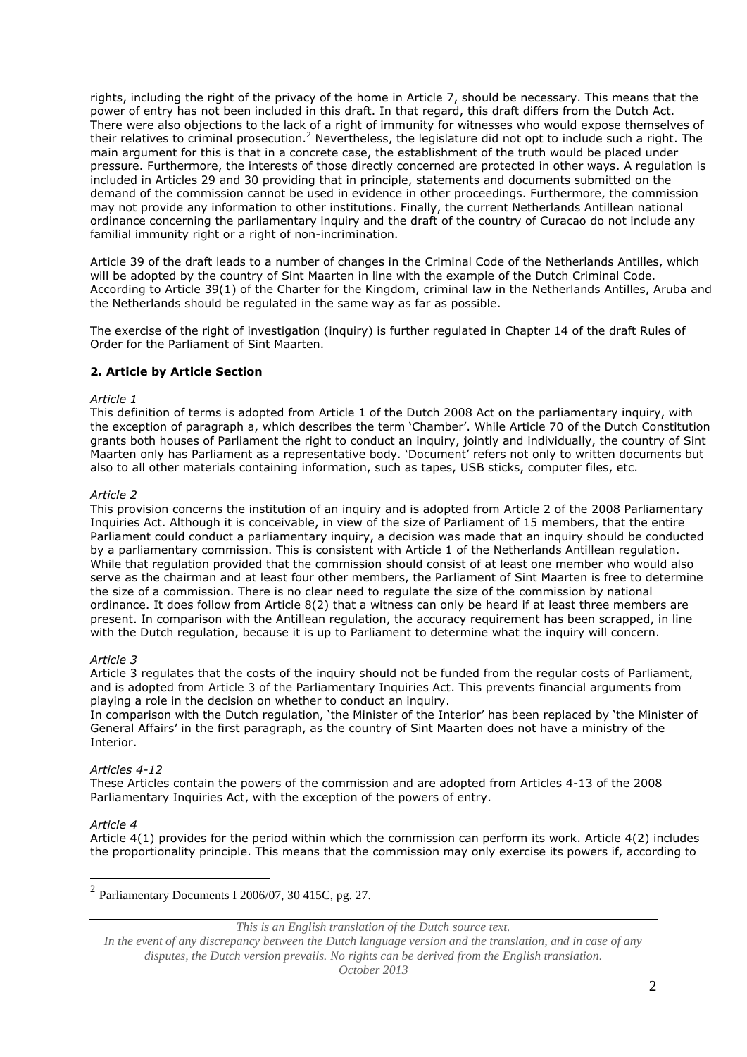rights, including the right of the privacy of the home in Article 7, should be necessary. This means that the power of entry has not been included in this draft. In that regard, this draft differs from the Dutch Act. There were also objections to the lack of a right of immunity for witnesses who would expose themselves of their relatives to criminal prosecution.<sup>2</sup> Nevertheless, the legislature did not opt to include such a right. The main argument for this is that in a concrete case, the establishment of the truth would be placed under pressure. Furthermore, the interests of those directly concerned are protected in other ways. A regulation is included in Articles 29 and 30 providing that in principle, statements and documents submitted on the demand of the commission cannot be used in evidence in other proceedings. Furthermore, the commission may not provide any information to other institutions. Finally, the current Netherlands Antillean national ordinance concerning the parliamentary inquiry and the draft of the country of Curacao do not include any familial immunity right or a right of non-incrimination.

Article 39 of the draft leads to a number of changes in the Criminal Code of the Netherlands Antilles, which will be adopted by the country of Sint Maarten in line with the example of the Dutch Criminal Code. According to Article 39(1) of the Charter for the Kingdom, criminal law in the Netherlands Antilles, Aruba and the Netherlands should be regulated in the same way as far as possible.

The exercise of the right of investigation (inquiry) is further regulated in Chapter 14 of the draft Rules of Order for the Parliament of Sint Maarten.

# **2. Article by Article Section**

## *Article 1*

This definition of terms is adopted from Article 1 of the Dutch 2008 Act on the parliamentary inquiry, with the exception of paragraph a, which describes the term 'Chamber'. While Article 70 of the Dutch Constitution grants both houses of Parliament the right to conduct an inquiry, jointly and individually, the country of Sint Maarten only has Parliament as a representative body. 'Document' refers not only to written documents but also to all other materials containing information, such as tapes, USB sticks, computer files, etc.

# *Article 2*

This provision concerns the institution of an inquiry and is adopted from Article 2 of the 2008 Parliamentary Inquiries Act. Although it is conceivable, in view of the size of Parliament of 15 members, that the entire Parliament could conduct a parliamentary inquiry, a decision was made that an inquiry should be conducted by a parliamentary commission. This is consistent with Article 1 of the Netherlands Antillean regulation. While that regulation provided that the commission should consist of at least one member who would also serve as the chairman and at least four other members, the Parliament of Sint Maarten is free to determine the size of a commission. There is no clear need to regulate the size of the commission by national ordinance. It does follow from Article 8(2) that a witness can only be heard if at least three members are present. In comparison with the Antillean regulation, the accuracy requirement has been scrapped, in line with the Dutch regulation, because it is up to Parliament to determine what the inquiry will concern.

# *Article 3*

Article 3 regulates that the costs of the inquiry should not be funded from the regular costs of Parliament, and is adopted from Article 3 of the Parliamentary Inquiries Act. This prevents financial arguments from playing a role in the decision on whether to conduct an inquiry.

In comparison with the Dutch regulation, 'the Minister of the Interior' has been replaced by 'the Minister of General Affairs' in the first paragraph, as the country of Sint Maarten does not have a ministry of the Interior.

# *Articles 4-12*

These Articles contain the powers of the commission and are adopted from Articles 4-13 of the 2008 Parliamentary Inquiries Act, with the exception of the powers of entry.

#### *Article 4*

<u>.</u>

Article 4(1) provides for the period within which the commission can perform its work. Article 4(2) includes the proportionality principle. This means that the commission may only exercise its powers if, according to

 $2$  Parliamentary Documents I 2006/07, 30 415C, pg. 27.

*This is an English translation of the Dutch source text.*

*In the event of any discrepancy between the Dutch language version and the translation, and in case of any disputes, the Dutch version prevails. No rights can be derived from the English translation. October 2013*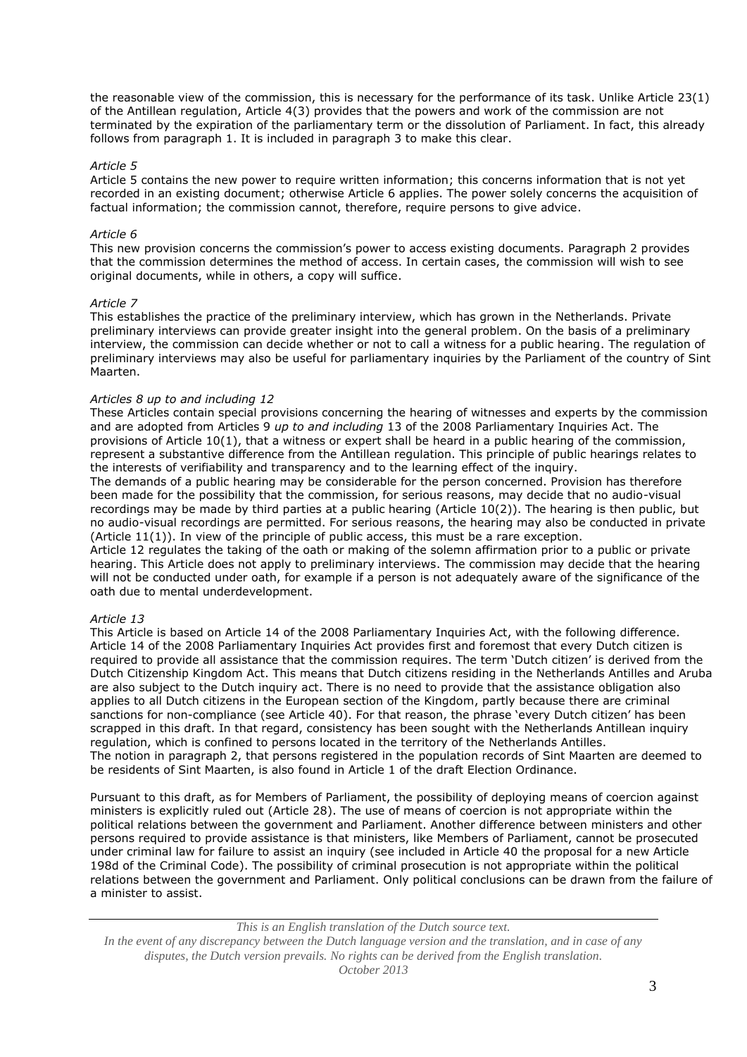the reasonable view of the commission, this is necessary for the performance of its task. Unlike Article 23(1) of the Antillean regulation, Article 4(3) provides that the powers and work of the commission are not terminated by the expiration of the parliamentary term or the dissolution of Parliament. In fact, this already follows from paragraph 1. It is included in paragraph 3 to make this clear.

## *Article 5*

Article 5 contains the new power to require written information; this concerns information that is not yet recorded in an existing document; otherwise Article 6 applies. The power solely concerns the acquisition of factual information; the commission cannot, therefore, require persons to give advice.

## *Article 6*

This new provision concerns the commission's power to access existing documents. Paragraph 2 provides that the commission determines the method of access. In certain cases, the commission will wish to see original documents, while in others, a copy will suffice.

#### *Article 7*

This establishes the practice of the preliminary interview, which has grown in the Netherlands. Private preliminary interviews can provide greater insight into the general problem. On the basis of a preliminary interview, the commission can decide whether or not to call a witness for a public hearing. The regulation of preliminary interviews may also be useful for parliamentary inquiries by the Parliament of the country of Sint Maarten.

## *Articles 8 up to and including 12*

These Articles contain special provisions concerning the hearing of witnesses and experts by the commission and are adopted from Articles 9 *up to and including* 13 of the 2008 Parliamentary Inquiries Act. The provisions of Article 10(1), that a witness or expert shall be heard in a public hearing of the commission, represent a substantive difference from the Antillean regulation. This principle of public hearings relates to the interests of verifiability and transparency and to the learning effect of the inquiry.

The demands of a public hearing may be considerable for the person concerned. Provision has therefore been made for the possibility that the commission, for serious reasons, may decide that no audio-visual recordings may be made by third parties at a public hearing (Article 10(2)). The hearing is then public, but no audio-visual recordings are permitted. For serious reasons, the hearing may also be conducted in private (Article 11(1)). In view of the principle of public access, this must be a rare exception.

Article 12 regulates the taking of the oath or making of the solemn affirmation prior to a public or private hearing. This Article does not apply to preliminary interviews. The commission may decide that the hearing will not be conducted under oath, for example if a person is not adequately aware of the significance of the oath due to mental underdevelopment.

# *Article 13*

This Article is based on Article 14 of the 2008 Parliamentary Inquiries Act, with the following difference. Article 14 of the 2008 Parliamentary Inquiries Act provides first and foremost that every Dutch citizen is required to provide all assistance that the commission requires. The term 'Dutch citizen' is derived from the Dutch Citizenship Kingdom Act. This means that Dutch citizens residing in the Netherlands Antilles and Aruba are also subject to the Dutch inquiry act. There is no need to provide that the assistance obligation also applies to all Dutch citizens in the European section of the Kingdom, partly because there are criminal sanctions for non-compliance (see Article 40). For that reason, the phrase 'every Dutch citizen' has been scrapped in this draft. In that regard, consistency has been sought with the Netherlands Antillean inquiry regulation, which is confined to persons located in the territory of the Netherlands Antilles. The notion in paragraph 2, that persons registered in the population records of Sint Maarten are deemed to be residents of Sint Maarten, is also found in Article 1 of the draft Election Ordinance.

Pursuant to this draft, as for Members of Parliament, the possibility of deploying means of coercion against ministers is explicitly ruled out (Article 28). The use of means of coercion is not appropriate within the political relations between the government and Parliament. Another difference between ministers and other persons required to provide assistance is that ministers, like Members of Parliament, cannot be prosecuted under criminal law for failure to assist an inquiry (see included in Article 40 the proposal for a new Article 198d of the Criminal Code). The possibility of criminal prosecution is not appropriate within the political relations between the government and Parliament. Only political conclusions can be drawn from the failure of a minister to assist.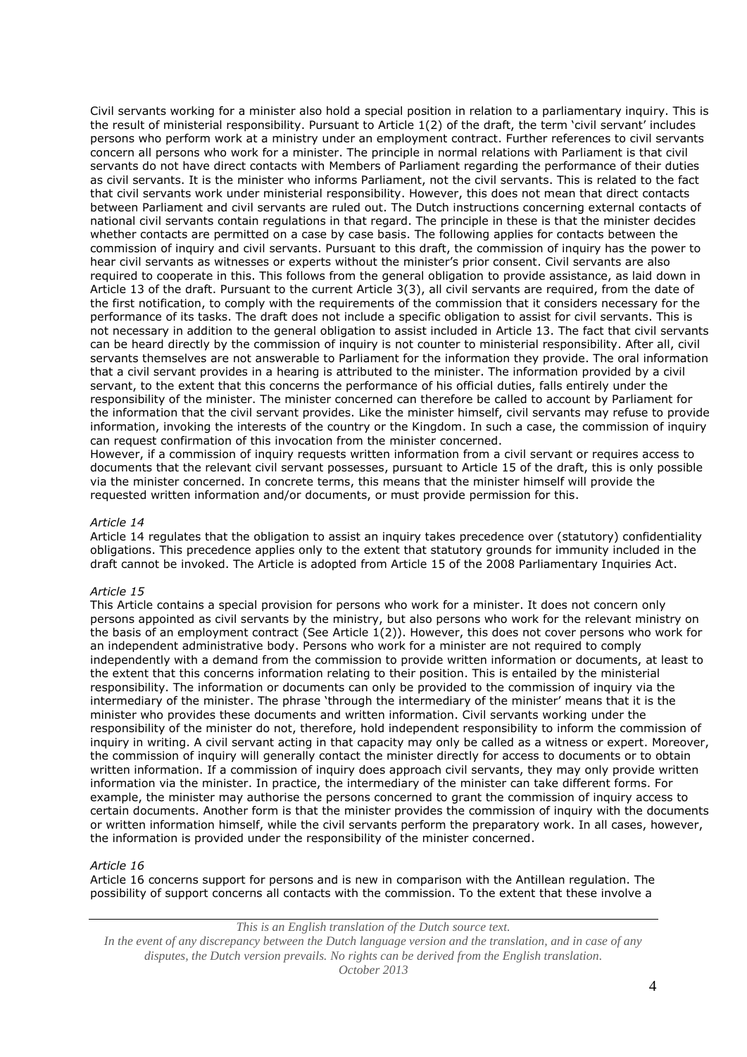Civil servants working for a minister also hold a special position in relation to a parliamentary inquiry. This is the result of ministerial responsibility. Pursuant to Article 1(2) of the draft, the term 'civil servant' includes persons who perform work at a ministry under an employment contract. Further references to civil servants concern all persons who work for a minister. The principle in normal relations with Parliament is that civil servants do not have direct contacts with Members of Parliament regarding the performance of their duties as civil servants. It is the minister who informs Parliament, not the civil servants. This is related to the fact that civil servants work under ministerial responsibility. However, this does not mean that direct contacts between Parliament and civil servants are ruled out. The Dutch instructions concerning external contacts of national civil servants contain regulations in that regard. The principle in these is that the minister decides whether contacts are permitted on a case by case basis. The following applies for contacts between the commission of inquiry and civil servants. Pursuant to this draft, the commission of inquiry has the power to hear civil servants as witnesses or experts without the minister's prior consent. Civil servants are also required to cooperate in this. This follows from the general obligation to provide assistance, as laid down in Article 13 of the draft. Pursuant to the current Article 3(3), all civil servants are required, from the date of the first notification, to comply with the requirements of the commission that it considers necessary for the performance of its tasks. The draft does not include a specific obligation to assist for civil servants. This is not necessary in addition to the general obligation to assist included in Article 13. The fact that civil servants can be heard directly by the commission of inquiry is not counter to ministerial responsibility. After all, civil servants themselves are not answerable to Parliament for the information they provide. The oral information that a civil servant provides in a hearing is attributed to the minister. The information provided by a civil servant, to the extent that this concerns the performance of his official duties, falls entirely under the responsibility of the minister. The minister concerned can therefore be called to account by Parliament for the information that the civil servant provides. Like the minister himself, civil servants may refuse to provide information, invoking the interests of the country or the Kingdom. In such a case, the commission of inquiry can request confirmation of this invocation from the minister concerned.

However, if a commission of inquiry requests written information from a civil servant or requires access to documents that the relevant civil servant possesses, pursuant to Article 15 of the draft, this is only possible via the minister concerned. In concrete terms, this means that the minister himself will provide the requested written information and/or documents, or must provide permission for this.

# *Article 14*

Article 14 regulates that the obligation to assist an inquiry takes precedence over (statutory) confidentiality obligations. This precedence applies only to the extent that statutory grounds for immunity included in the draft cannot be invoked. The Article is adopted from Article 15 of the 2008 Parliamentary Inquiries Act.

#### *Article 15*

This Article contains a special provision for persons who work for a minister. It does not concern only persons appointed as civil servants by the ministry, but also persons who work for the relevant ministry on the basis of an employment contract (See Article 1(2)). However, this does not cover persons who work for an independent administrative body. Persons who work for a minister are not required to comply independently with a demand from the commission to provide written information or documents, at least to the extent that this concerns information relating to their position. This is entailed by the ministerial responsibility. The information or documents can only be provided to the commission of inquiry via the intermediary of the minister. The phrase 'through the intermediary of the minister' means that it is the minister who provides these documents and written information. Civil servants working under the responsibility of the minister do not, therefore, hold independent responsibility to inform the commission of inquiry in writing. A civil servant acting in that capacity may only be called as a witness or expert. Moreover, the commission of inquiry will generally contact the minister directly for access to documents or to obtain written information. If a commission of inquiry does approach civil servants, they may only provide written information via the minister. In practice, the intermediary of the minister can take different forms. For example, the minister may authorise the persons concerned to grant the commission of inquiry access to certain documents. Another form is that the minister provides the commission of inquiry with the documents or written information himself, while the civil servants perform the preparatory work. In all cases, however, the information is provided under the responsibility of the minister concerned.

#### *Article 16*

Article 16 concerns support for persons and is new in comparison with the Antillean regulation. The possibility of support concerns all contacts with the commission. To the extent that these involve a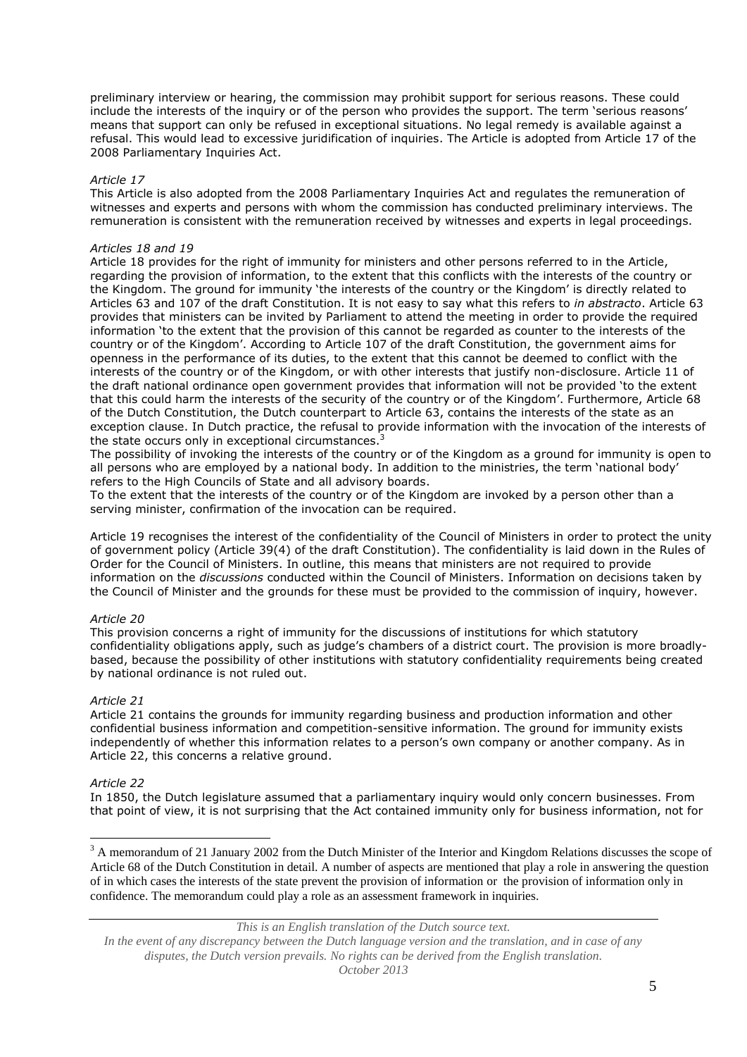preliminary interview or hearing, the commission may prohibit support for serious reasons. These could include the interests of the inquiry or of the person who provides the support. The term 'serious reasons' means that support can only be refused in exceptional situations. No legal remedy is available against a refusal. This would lead to excessive juridification of inquiries. The Article is adopted from Article 17 of the 2008 Parliamentary Inquiries Act.

## *Article 17*

This Article is also adopted from the 2008 Parliamentary Inquiries Act and regulates the remuneration of witnesses and experts and persons with whom the commission has conducted preliminary interviews. The remuneration is consistent with the remuneration received by witnesses and experts in legal proceedings.

#### *Articles 18 and 19*

Article 18 provides for the right of immunity for ministers and other persons referred to in the Article, regarding the provision of information, to the extent that this conflicts with the interests of the country or the Kingdom. The ground for immunity 'the interests of the country or the Kingdom' is directly related to Articles 63 and 107 of the draft Constitution. It is not easy to say what this refers to *in abstracto*. Article 63 provides that ministers can be invited by Parliament to attend the meeting in order to provide the required information 'to the extent that the provision of this cannot be regarded as counter to the interests of the country or of the Kingdom'. According to Article 107 of the draft Constitution, the government aims for openness in the performance of its duties, to the extent that this cannot be deemed to conflict with the interests of the country or of the Kingdom, or with other interests that justify non-disclosure. Article 11 of the draft national ordinance open government provides that information will not be provided 'to the extent that this could harm the interests of the security of the country or of the Kingdom'. Furthermore, Article 68 of the Dutch Constitution, the Dutch counterpart to Article 63, contains the interests of the state as an exception clause. In Dutch practice, the refusal to provide information with the invocation of the interests of the state occurs only in exceptional circumstances.<sup>3</sup>

The possibility of invoking the interests of the country or of the Kingdom as a ground for immunity is open to all persons who are employed by a national body. In addition to the ministries, the term 'national body' refers to the High Councils of State and all advisory boards.

To the extent that the interests of the country or of the Kingdom are invoked by a person other than a serving minister, confirmation of the invocation can be required.

Article 19 recognises the interest of the confidentiality of the Council of Ministers in order to protect the unity of government policy (Article 39(4) of the draft Constitution). The confidentiality is laid down in the Rules of Order for the Council of Ministers. In outline, this means that ministers are not required to provide information on the *discussions* conducted within the Council of Ministers. Information on decisions taken by the Council of Minister and the grounds for these must be provided to the commission of inquiry, however.

# *Article 20*

This provision concerns a right of immunity for the discussions of institutions for which statutory confidentiality obligations apply, such as judge's chambers of a district court. The provision is more broadlybased, because the possibility of other institutions with statutory confidentiality requirements being created by national ordinance is not ruled out.

#### *Article 21*

Article 21 contains the grounds for immunity regarding business and production information and other confidential business information and competition-sensitive information. The ground for immunity exists independently of whether this information relates to a person's own company or another company. As in Article 22, this concerns a relative ground.

#### *Article 22*

1

In 1850, the Dutch legislature assumed that a parliamentary inquiry would only concern businesses. From that point of view, it is not surprising that the Act contained immunity only for business information, not for

<sup>3</sup> A memorandum of 21 January 2002 from the Dutch Minister of the Interior and Kingdom Relations discusses the scope of Article 68 of the Dutch Constitution in detail. A number of aspects are mentioned that play a role in answering the question of in which cases the interests of the state prevent the provision of information or the provision of information only in confidence. The memorandum could play a role as an assessment framework in inquiries.

*This is an English translation of the Dutch source text.*

*In the event of any discrepancy between the Dutch language version and the translation, and in case of any disputes, the Dutch version prevails. No rights can be derived from the English translation. October 2013*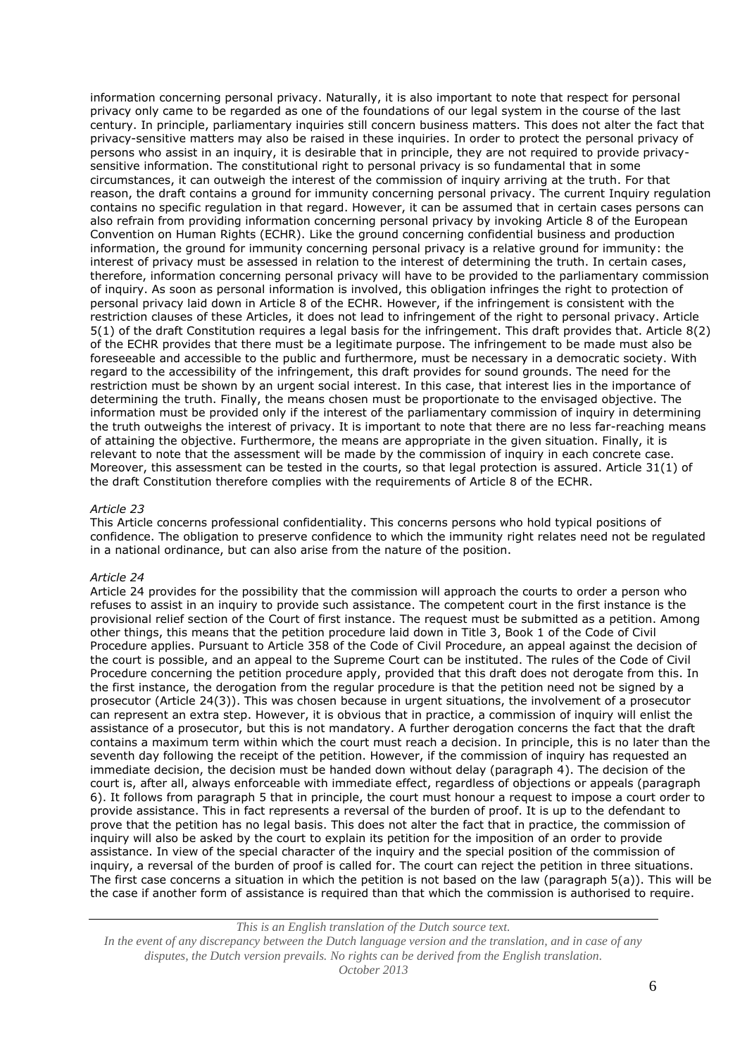information concerning personal privacy. Naturally, it is also important to note that respect for personal privacy only came to be regarded as one of the foundations of our legal system in the course of the last century. In principle, parliamentary inquiries still concern business matters. This does not alter the fact that privacy-sensitive matters may also be raised in these inquiries. In order to protect the personal privacy of persons who assist in an inquiry, it is desirable that in principle, they are not required to provide privacysensitive information. The constitutional right to personal privacy is so fundamental that in some circumstances, it can outweigh the interest of the commission of inquiry arriving at the truth. For that reason, the draft contains a ground for immunity concerning personal privacy. The current Inquiry regulation contains no specific regulation in that regard. However, it can be assumed that in certain cases persons can also refrain from providing information concerning personal privacy by invoking Article 8 of the European Convention on Human Rights (ECHR). Like the ground concerning confidential business and production information, the ground for immunity concerning personal privacy is a relative ground for immunity: the interest of privacy must be assessed in relation to the interest of determining the truth. In certain cases, therefore, information concerning personal privacy will have to be provided to the parliamentary commission of inquiry. As soon as personal information is involved, this obligation infringes the right to protection of personal privacy laid down in Article 8 of the ECHR. However, if the infringement is consistent with the restriction clauses of these Articles, it does not lead to infringement of the right to personal privacy. Article 5(1) of the draft Constitution requires a legal basis for the infringement. This draft provides that. Article 8(2) of the ECHR provides that there must be a legitimate purpose. The infringement to be made must also be foreseeable and accessible to the public and furthermore, must be necessary in a democratic society. With regard to the accessibility of the infringement, this draft provides for sound grounds. The need for the restriction must be shown by an urgent social interest. In this case, that interest lies in the importance of determining the truth. Finally, the means chosen must be proportionate to the envisaged objective. The information must be provided only if the interest of the parliamentary commission of inquiry in determining the truth outweighs the interest of privacy. It is important to note that there are no less far-reaching means of attaining the objective. Furthermore, the means are appropriate in the given situation. Finally, it is relevant to note that the assessment will be made by the commission of inquiry in each concrete case. Moreover, this assessment can be tested in the courts, so that legal protection is assured. Article 31(1) of the draft Constitution therefore complies with the requirements of Article 8 of the ECHR.

#### *Article 23*

This Article concerns professional confidentiality. This concerns persons who hold typical positions of confidence. The obligation to preserve confidence to which the immunity right relates need not be regulated in a national ordinance, but can also arise from the nature of the position.

#### *Article 24*

Article 24 provides for the possibility that the commission will approach the courts to order a person who refuses to assist in an inquiry to provide such assistance. The competent court in the first instance is the provisional relief section of the Court of first instance. The request must be submitted as a petition. Among other things, this means that the petition procedure laid down in Title 3, Book 1 of the Code of Civil Procedure applies. Pursuant to Article 358 of the Code of Civil Procedure, an appeal against the decision of the court is possible, and an appeal to the Supreme Court can be instituted. The rules of the Code of Civil Procedure concerning the petition procedure apply, provided that this draft does not derogate from this. In the first instance, the derogation from the regular procedure is that the petition need not be signed by a prosecutor (Article 24(3)). This was chosen because in urgent situations, the involvement of a prosecutor can represent an extra step. However, it is obvious that in practice, a commission of inquiry will enlist the assistance of a prosecutor, but this is not mandatory. A further derogation concerns the fact that the draft contains a maximum term within which the court must reach a decision. In principle, this is no later than the seventh day following the receipt of the petition. However, if the commission of inquiry has requested an immediate decision, the decision must be handed down without delay (paragraph 4). The decision of the court is, after all, always enforceable with immediate effect, regardless of objections or appeals (paragraph 6). It follows from paragraph 5 that in principle, the court must honour a request to impose a court order to provide assistance. This in fact represents a reversal of the burden of proof. It is up to the defendant to prove that the petition has no legal basis. This does not alter the fact that in practice, the commission of inquiry will also be asked by the court to explain its petition for the imposition of an order to provide assistance. In view of the special character of the inquiry and the special position of the commission of inquiry, a reversal of the burden of proof is called for. The court can reject the petition in three situations. The first case concerns a situation in which the petition is not based on the law (paragraph 5(a)). This will be the case if another form of assistance is required than that which the commission is authorised to require.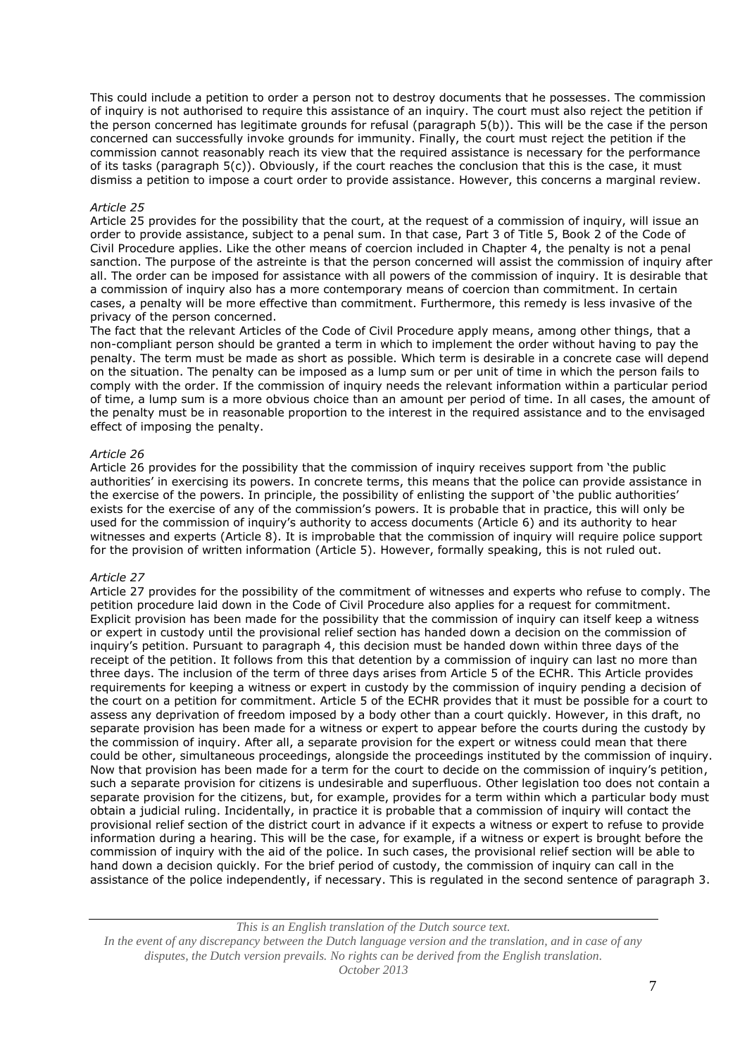This could include a petition to order a person not to destroy documents that he possesses. The commission of inquiry is not authorised to require this assistance of an inquiry. The court must also reject the petition if the person concerned has legitimate grounds for refusal (paragraph 5(b)). This will be the case if the person concerned can successfully invoke grounds for immunity. Finally, the court must reject the petition if the commission cannot reasonably reach its view that the required assistance is necessary for the performance of its tasks (paragraph 5(c)). Obviously, if the court reaches the conclusion that this is the case, it must dismiss a petition to impose a court order to provide assistance. However, this concerns a marginal review.

#### *Article 25*

Article 25 provides for the possibility that the court, at the request of a commission of inquiry, will issue an order to provide assistance, subject to a penal sum. In that case, Part 3 of Title 5, Book 2 of the Code of Civil Procedure applies. Like the other means of coercion included in Chapter 4, the penalty is not a penal sanction. The purpose of the astreinte is that the person concerned will assist the commission of inquiry after all. The order can be imposed for assistance with all powers of the commission of inquiry. It is desirable that a commission of inquiry also has a more contemporary means of coercion than commitment. In certain cases, a penalty will be more effective than commitment. Furthermore, this remedy is less invasive of the privacy of the person concerned.

The fact that the relevant Articles of the Code of Civil Procedure apply means, among other things, that a non-compliant person should be granted a term in which to implement the order without having to pay the penalty. The term must be made as short as possible. Which term is desirable in a concrete case will depend on the situation. The penalty can be imposed as a lump sum or per unit of time in which the person fails to comply with the order. If the commission of inquiry needs the relevant information within a particular period of time, a lump sum is a more obvious choice than an amount per period of time. In all cases, the amount of the penalty must be in reasonable proportion to the interest in the required assistance and to the envisaged effect of imposing the penalty.

## *Article 26*

Article 26 provides for the possibility that the commission of inquiry receives support from 'the public authorities' in exercising its powers. In concrete terms, this means that the police can provide assistance in the exercise of the powers. In principle, the possibility of enlisting the support of 'the public authorities' exists for the exercise of any of the commission's powers. It is probable that in practice, this will only be used for the commission of inquiry's authority to access documents (Article 6) and its authority to hear witnesses and experts (Article 8). It is improbable that the commission of inquiry will require police support for the provision of written information (Article 5). However, formally speaking, this is not ruled out.

#### *Article 27*

Article 27 provides for the possibility of the commitment of witnesses and experts who refuse to comply. The petition procedure laid down in the Code of Civil Procedure also applies for a request for commitment. Explicit provision has been made for the possibility that the commission of inquiry can itself keep a witness or expert in custody until the provisional relief section has handed down a decision on the commission of inquiry's petition. Pursuant to paragraph 4, this decision must be handed down within three days of the receipt of the petition. It follows from this that detention by a commission of inquiry can last no more than three days. The inclusion of the term of three days arises from Article 5 of the ECHR. This Article provides requirements for keeping a witness or expert in custody by the commission of inquiry pending a decision of the court on a petition for commitment. Article 5 of the ECHR provides that it must be possible for a court to assess any deprivation of freedom imposed by a body other than a court quickly. However, in this draft, no separate provision has been made for a witness or expert to appear before the courts during the custody by the commission of inquiry. After all, a separate provision for the expert or witness could mean that there could be other, simultaneous proceedings, alongside the proceedings instituted by the commission of inquiry. Now that provision has been made for a term for the court to decide on the commission of inquiry's petition, such a separate provision for citizens is undesirable and superfluous. Other legislation too does not contain a separate provision for the citizens, but, for example, provides for a term within which a particular body must obtain a judicial ruling. Incidentally, in practice it is probable that a commission of inquiry will contact the provisional relief section of the district court in advance if it expects a witness or expert to refuse to provide information during a hearing. This will be the case, for example, if a witness or expert is brought before the commission of inquiry with the aid of the police. In such cases, the provisional relief section will be able to hand down a decision quickly. For the brief period of custody, the commission of inquiry can call in the assistance of the police independently, if necessary. This is regulated in the second sentence of paragraph 3.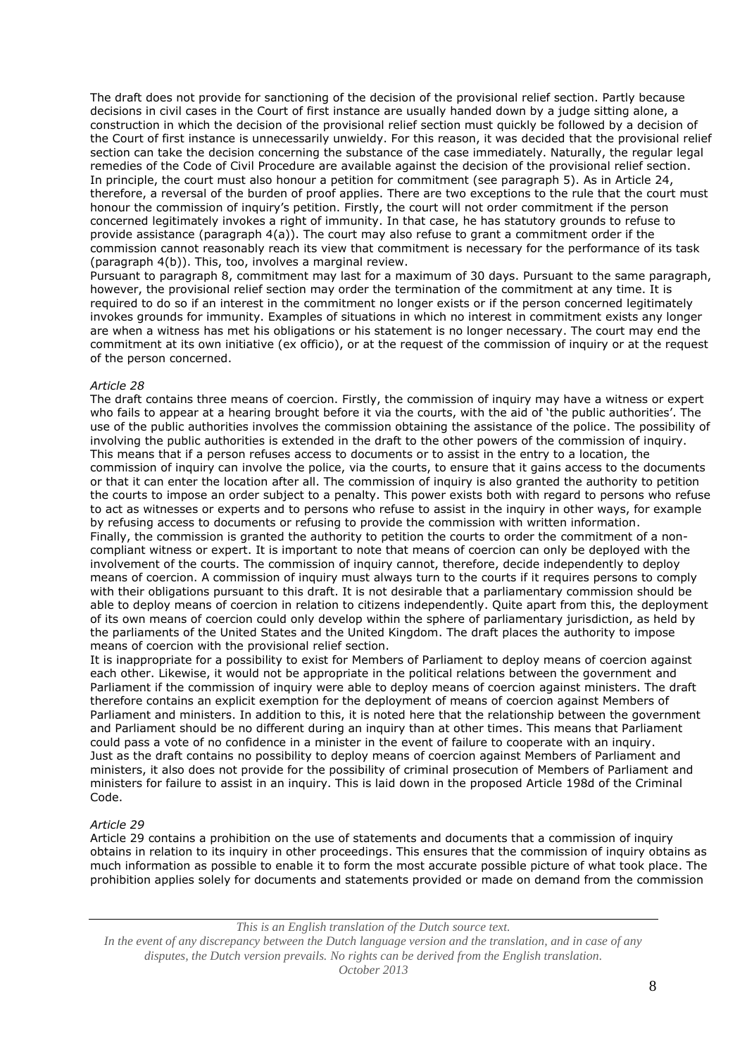The draft does not provide for sanctioning of the decision of the provisional relief section. Partly because decisions in civil cases in the Court of first instance are usually handed down by a judge sitting alone, a construction in which the decision of the provisional relief section must quickly be followed by a decision of the Court of first instance is unnecessarily unwieldy. For this reason, it was decided that the provisional relief section can take the decision concerning the substance of the case immediately. Naturally, the regular legal remedies of the Code of Civil Procedure are available against the decision of the provisional relief section. In principle, the court must also honour a petition for commitment (see paragraph 5). As in Article 24, therefore, a reversal of the burden of proof applies. There are two exceptions to the rule that the court must honour the commission of inquiry's petition. Firstly, the court will not order commitment if the person concerned legitimately invokes a right of immunity. In that case, he has statutory grounds to refuse to provide assistance (paragraph 4(a)). The court may also refuse to grant a commitment order if the commission cannot reasonably reach its view that commitment is necessary for the performance of its task (paragraph 4(b)). This, too, involves a marginal review.

Pursuant to paragraph 8, commitment may last for a maximum of 30 days. Pursuant to the same paragraph, however, the provisional relief section may order the termination of the commitment at any time. It is required to do so if an interest in the commitment no longer exists or if the person concerned legitimately invokes grounds for immunity. Examples of situations in which no interest in commitment exists any longer are when a witness has met his obligations or his statement is no longer necessary. The court may end the commitment at its own initiative (ex officio), or at the request of the commission of inquiry or at the request of the person concerned.

## *Article 28*

The draft contains three means of coercion. Firstly, the commission of inquiry may have a witness or expert who fails to appear at a hearing brought before it via the courts, with the aid of 'the public authorities'. The use of the public authorities involves the commission obtaining the assistance of the police. The possibility of involving the public authorities is extended in the draft to the other powers of the commission of inquiry. This means that if a person refuses access to documents or to assist in the entry to a location, the commission of inquiry can involve the police, via the courts, to ensure that it gains access to the documents or that it can enter the location after all. The commission of inquiry is also granted the authority to petition the courts to impose an order subject to a penalty. This power exists both with regard to persons who refuse to act as witnesses or experts and to persons who refuse to assist in the inquiry in other ways, for example by refusing access to documents or refusing to provide the commission with written information. Finally, the commission is granted the authority to petition the courts to order the commitment of a noncompliant witness or expert. It is important to note that means of coercion can only be deployed with the involvement of the courts. The commission of inquiry cannot, therefore, decide independently to deploy means of coercion. A commission of inquiry must always turn to the courts if it requires persons to comply with their obligations pursuant to this draft. It is not desirable that a parliamentary commission should be able to deploy means of coercion in relation to citizens independently. Quite apart from this, the deployment of its own means of coercion could only develop within the sphere of parliamentary jurisdiction, as held by the parliaments of the United States and the United Kingdom. The draft places the authority to impose means of coercion with the provisional relief section.

It is inappropriate for a possibility to exist for Members of Parliament to deploy means of coercion against each other. Likewise, it would not be appropriate in the political relations between the government and Parliament if the commission of inquiry were able to deploy means of coercion against ministers. The draft therefore contains an explicit exemption for the deployment of means of coercion against Members of Parliament and ministers. In addition to this, it is noted here that the relationship between the government and Parliament should be no different during an inquiry than at other times. This means that Parliament could pass a vote of no confidence in a minister in the event of failure to cooperate with an inquiry. Just as the draft contains no possibility to deploy means of coercion against Members of Parliament and ministers, it also does not provide for the possibility of criminal prosecution of Members of Parliament and ministers for failure to assist in an inquiry. This is laid down in the proposed Article 198d of the Criminal Code.

#### *Article 29*

Article 29 contains a prohibition on the use of statements and documents that a commission of inquiry obtains in relation to its inquiry in other proceedings. This ensures that the commission of inquiry obtains as much information as possible to enable it to form the most accurate possible picture of what took place. The prohibition applies solely for documents and statements provided or made on demand from the commission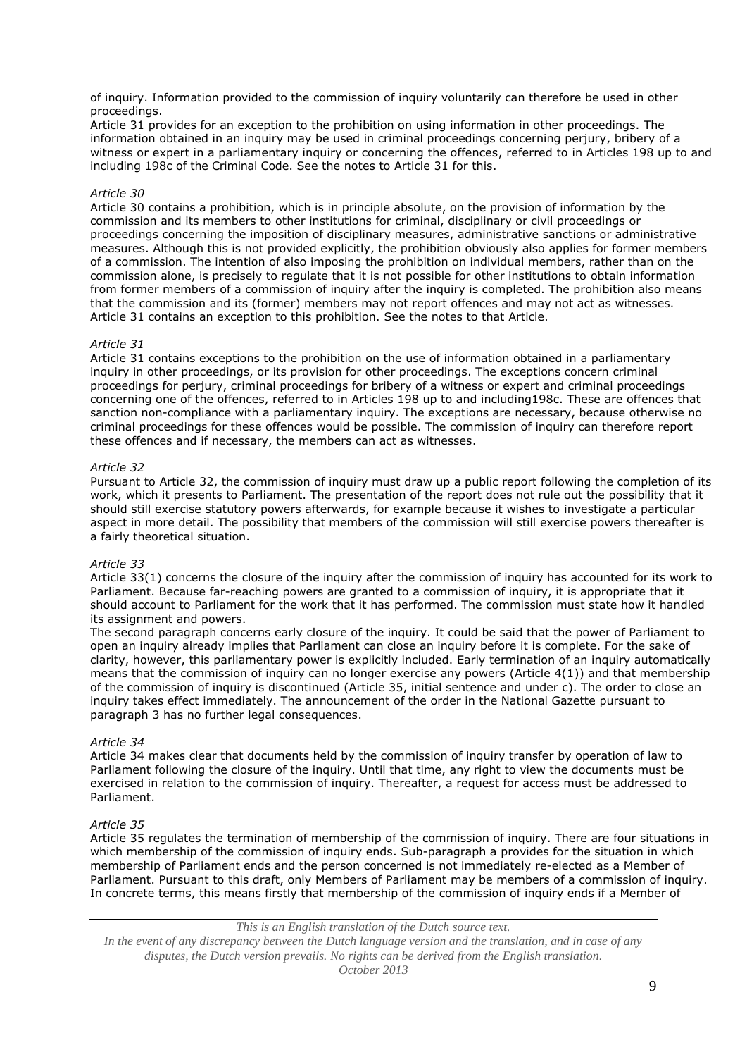of inquiry. Information provided to the commission of inquiry voluntarily can therefore be used in other proceedings.

Article 31 provides for an exception to the prohibition on using information in other proceedings. The information obtained in an inquiry may be used in criminal proceedings concerning perjury, bribery of a witness or expert in a parliamentary inquiry or concerning the offences, referred to in Articles 198 up to and including 198c of the Criminal Code. See the notes to Article 31 for this.

# *Article 30*

Article 30 contains a prohibition, which is in principle absolute, on the provision of information by the commission and its members to other institutions for criminal, disciplinary or civil proceedings or proceedings concerning the imposition of disciplinary measures, administrative sanctions or administrative measures. Although this is not provided explicitly, the prohibition obviously also applies for former members of a commission. The intention of also imposing the prohibition on individual members, rather than on the commission alone, is precisely to regulate that it is not possible for other institutions to obtain information from former members of a commission of inquiry after the inquiry is completed. The prohibition also means that the commission and its (former) members may not report offences and may not act as witnesses. Article 31 contains an exception to this prohibition. See the notes to that Article.

## *Article 31*

Article 31 contains exceptions to the prohibition on the use of information obtained in a parliamentary inquiry in other proceedings, or its provision for other proceedings. The exceptions concern criminal proceedings for perjury, criminal proceedings for bribery of a witness or expert and criminal proceedings concerning one of the offences, referred to in Articles 198 up to and including198c. These are offences that sanction non-compliance with a parliamentary inquiry. The exceptions are necessary, because otherwise no criminal proceedings for these offences would be possible. The commission of inquiry can therefore report these offences and if necessary, the members can act as witnesses.

## *Article 32*

Pursuant to Article 32, the commission of inquiry must draw up a public report following the completion of its work, which it presents to Parliament. The presentation of the report does not rule out the possibility that it should still exercise statutory powers afterwards, for example because it wishes to investigate a particular aspect in more detail. The possibility that members of the commission will still exercise powers thereafter is a fairly theoretical situation.

#### *Article 33*

Article 33(1) concerns the closure of the inquiry after the commission of inquiry has accounted for its work to Parliament. Because far-reaching powers are granted to a commission of inquiry, it is appropriate that it should account to Parliament for the work that it has performed. The commission must state how it handled its assignment and powers.

The second paragraph concerns early closure of the inquiry. It could be said that the power of Parliament to open an inquiry already implies that Parliament can close an inquiry before it is complete. For the sake of clarity, however, this parliamentary power is explicitly included. Early termination of an inquiry automatically means that the commission of inquiry can no longer exercise any powers (Article 4(1)) and that membership of the commission of inquiry is discontinued (Article 35, initial sentence and under c). The order to close an inquiry takes effect immediately. The announcement of the order in the National Gazette pursuant to paragraph 3 has no further legal consequences.

## *Article 34*

Article 34 makes clear that documents held by the commission of inquiry transfer by operation of law to Parliament following the closure of the inquiry. Until that time, any right to view the documents must be exercised in relation to the commission of inquiry. Thereafter, a request for access must be addressed to Parliament.

#### *Article 35*

Article 35 regulates the termination of membership of the commission of inquiry. There are four situations in which membership of the commission of inquiry ends. Sub-paragraph a provides for the situation in which membership of Parliament ends and the person concerned is not immediately re-elected as a Member of Parliament. Pursuant to this draft, only Members of Parliament may be members of a commission of inquiry. In concrete terms, this means firstly that membership of the commission of inquiry ends if a Member of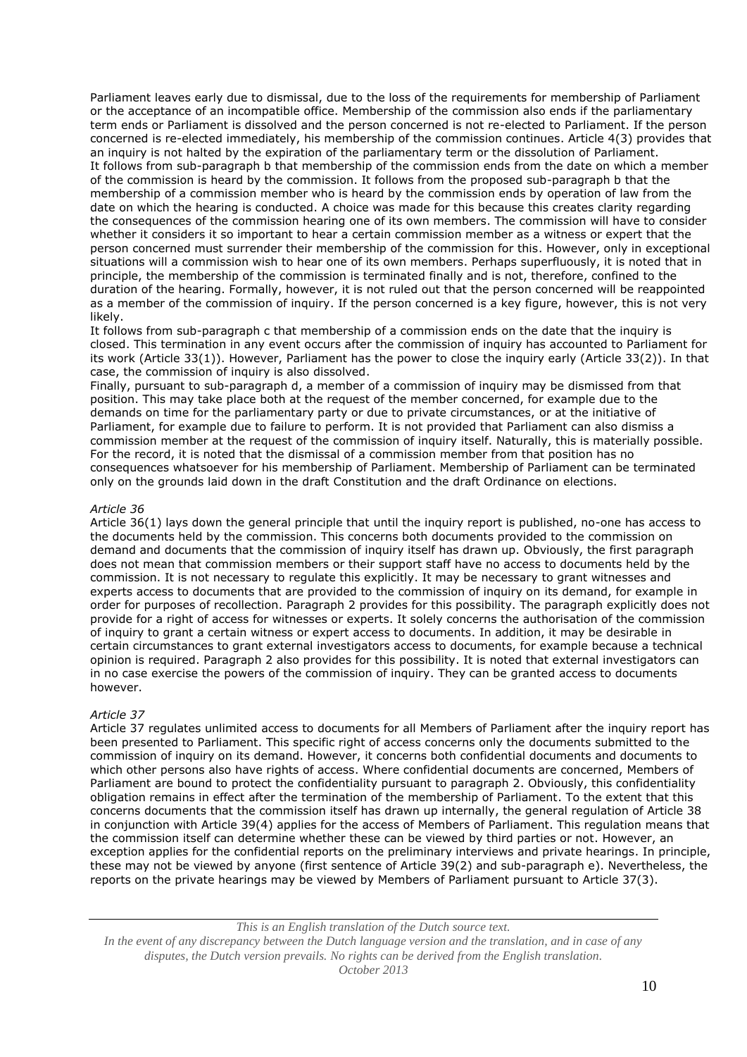Parliament leaves early due to dismissal, due to the loss of the requirements for membership of Parliament or the acceptance of an incompatible office. Membership of the commission also ends if the parliamentary term ends or Parliament is dissolved and the person concerned is not re-elected to Parliament. If the person concerned is re-elected immediately, his membership of the commission continues. Article 4(3) provides that an inquiry is not halted by the expiration of the parliamentary term or the dissolution of Parliament. It follows from sub-paragraph b that membership of the commission ends from the date on which a member of the commission is heard by the commission. It follows from the proposed sub-paragraph b that the membership of a commission member who is heard by the commission ends by operation of law from the date on which the hearing is conducted. A choice was made for this because this creates clarity regarding the consequences of the commission hearing one of its own members. The commission will have to consider whether it considers it so important to hear a certain commission member as a witness or expert that the person concerned must surrender their membership of the commission for this. However, only in exceptional situations will a commission wish to hear one of its own members. Perhaps superfluously, it is noted that in principle, the membership of the commission is terminated finally and is not, therefore, confined to the duration of the hearing. Formally, however, it is not ruled out that the person concerned will be reappointed as a member of the commission of inquiry. If the person concerned is a key figure, however, this is not very likely.

It follows from sub-paragraph c that membership of a commission ends on the date that the inquiry is closed. This termination in any event occurs after the commission of inquiry has accounted to Parliament for its work (Article 33(1)). However, Parliament has the power to close the inquiry early (Article 33(2)). In that case, the commission of inquiry is also dissolved.

Finally, pursuant to sub-paragraph d, a member of a commission of inquiry may be dismissed from that position. This may take place both at the request of the member concerned, for example due to the demands on time for the parliamentary party or due to private circumstances, or at the initiative of Parliament, for example due to failure to perform. It is not provided that Parliament can also dismiss a commission member at the request of the commission of inquiry itself. Naturally, this is materially possible. For the record, it is noted that the dismissal of a commission member from that position has no consequences whatsoever for his membership of Parliament. Membership of Parliament can be terminated only on the grounds laid down in the draft Constitution and the draft Ordinance on elections.

## *Article 36*

Article 36(1) lays down the general principle that until the inquiry report is published, no-one has access to the documents held by the commission. This concerns both documents provided to the commission on demand and documents that the commission of inquiry itself has drawn up. Obviously, the first paragraph does not mean that commission members or their support staff have no access to documents held by the commission. It is not necessary to regulate this explicitly. It may be necessary to grant witnesses and experts access to documents that are provided to the commission of inquiry on its demand, for example in order for purposes of recollection. Paragraph 2 provides for this possibility. The paragraph explicitly does not provide for a right of access for witnesses or experts. It solely concerns the authorisation of the commission of inquiry to grant a certain witness or expert access to documents. In addition, it may be desirable in certain circumstances to grant external investigators access to documents, for example because a technical opinion is required. Paragraph 2 also provides for this possibility. It is noted that external investigators can in no case exercise the powers of the commission of inquiry. They can be granted access to documents however.

# *Article 37*

Article 37 regulates unlimited access to documents for all Members of Parliament after the inquiry report has been presented to Parliament. This specific right of access concerns only the documents submitted to the commission of inquiry on its demand. However, it concerns both confidential documents and documents to which other persons also have rights of access. Where confidential documents are concerned, Members of Parliament are bound to protect the confidentiality pursuant to paragraph 2. Obviously, this confidentiality obligation remains in effect after the termination of the membership of Parliament. To the extent that this concerns documents that the commission itself has drawn up internally, the general regulation of Article 38 in conjunction with Article 39(4) applies for the access of Members of Parliament. This regulation means that the commission itself can determine whether these can be viewed by third parties or not. However, an exception applies for the confidential reports on the preliminary interviews and private hearings. In principle, these may not be viewed by anyone (first sentence of Article 39(2) and sub-paragraph e). Nevertheless, the reports on the private hearings may be viewed by Members of Parliament pursuant to Article 37(3).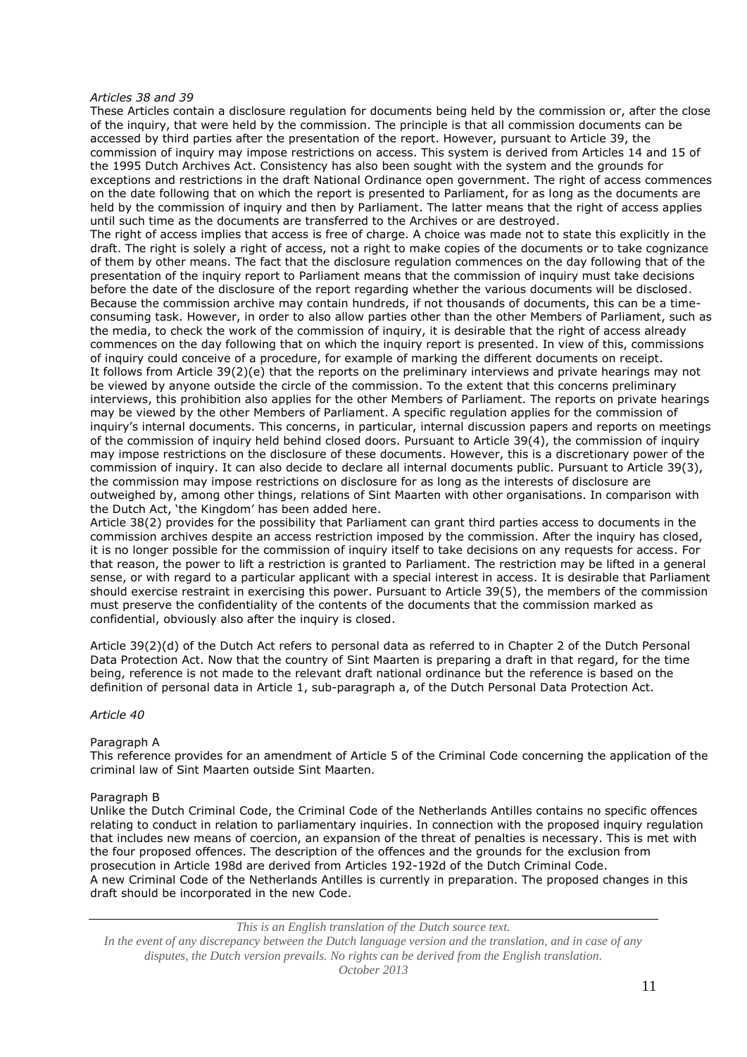#### *Articles 38 and 39*

These Articles contain a disclosure regulation for documents being held by the commission or, after the close of the inquiry, that were held by the commission. The principle is that all commission documents can be accessed by third parties after the presentation of the report. However, pursuant to Article 39, the commission of inquiry may impose restrictions on access. This system is derived from Articles 14 and 15 of the 1995 Dutch Archives Act. Consistency has also been sought with the system and the grounds for exceptions and restrictions in the draft National Ordinance open government. The right of access commences on the date following that on which the report is presented to Parliament, for as long as the documents are held by the commission of inquiry and then by Parliament. The latter means that the right of access applies until such time as the documents are transferred to the Archives or are destroyed.

The right of access implies that access is free of charge. A choice was made not to state this explicitly in the draft. The right is solely a right of access, not a right to make copies of the documents or to take cognizance of them by other means. The fact that the disclosure regulation commences on the day following that of the presentation of the inquiry report to Parliament means that the commission of inquiry must take decisions before the date of the disclosure of the report regarding whether the various documents will be disclosed. Because the commission archive may contain hundreds, if not thousands of documents, this can be a timeconsuming task. However, in order to also allow parties other than the other Members of Parliament, such as the media, to check the work of the commission of inquiry, it is desirable that the right of access already commences on the day following that on which the inquiry report is presented. In view of this, commissions of inquiry could conceive of a procedure, for example of marking the different documents on receipt. It follows from Article 39(2)(e) that the reports on the preliminary interviews and private hearings may not be viewed by anyone outside the circle of the commission. To the extent that this concerns preliminary interviews, this prohibition also applies for the other Members of Parliament. The reports on private hearings may be viewed by the other Members of Parliament. A specific regulation applies for the commission of inquiry's internal documents. This concerns, in particular, internal discussion papers and reports on meetings of the commission of inquiry held behind closed doors. Pursuant to Article 39(4), the commission of inquiry may impose restrictions on the disclosure of these documents. However, this is a discretionary power of the commission of inquiry. It can also decide to declare all internal documents public. Pursuant to Article 39(3), the commission may impose restrictions on disclosure for as long as the interests of disclosure are outweighed by, among other things, relations of Sint Maarten with other organisations. In comparison with the Dutch Act, 'the Kingdom' has been added here.

Article 38(2) provides for the possibility that Parliament can grant third parties access to documents in the commission archives despite an access restriction imposed by the commission. After the inquiry has closed, it is no longer possible for the commission of inquiry itself to take decisions on any requests for access. For that reason, the power to lift a restriction is granted to Parliament. The restriction may be lifted in a general sense, or with regard to a particular applicant with a special interest in access. It is desirable that Parliament should exercise restraint in exercising this power. Pursuant to Article 39(5), the members of the commission must preserve the confidentiality of the contents of the documents that the commission marked as confidential, obviously also after the inquiry is closed.

Article 39(2)(d) of the Dutch Act refers to personal data as referred to in Chapter 2 of the Dutch Personal Data Protection Act. Now that the country of Sint Maarten is preparing a draft in that regard, for the time being, reference is not made to the relevant draft national ordinance but the reference is based on the definition of personal data in Article 1, sub-paragraph a, of the Dutch Personal Data Protection Act.

## *Article 40*

#### Paragraph A

This reference provides for an amendment of Article 5 of the Criminal Code concerning the application of the criminal law of Sint Maarten outside Sint Maarten.

#### Paragraph B

Unlike the Dutch Criminal Code, the Criminal Code of the Netherlands Antilles contains no specific offences relating to conduct in relation to parliamentary inquiries. In connection with the proposed inquiry regulation that includes new means of coercion, an expansion of the threat of penalties is necessary. This is met with the four proposed offences. The description of the offences and the grounds for the exclusion from prosecution in Article 198d are derived from Articles 192-192d of the Dutch Criminal Code. A new Criminal Code of the Netherlands Antilles is currently in preparation. The proposed changes in this draft should be incorporated in the new Code.